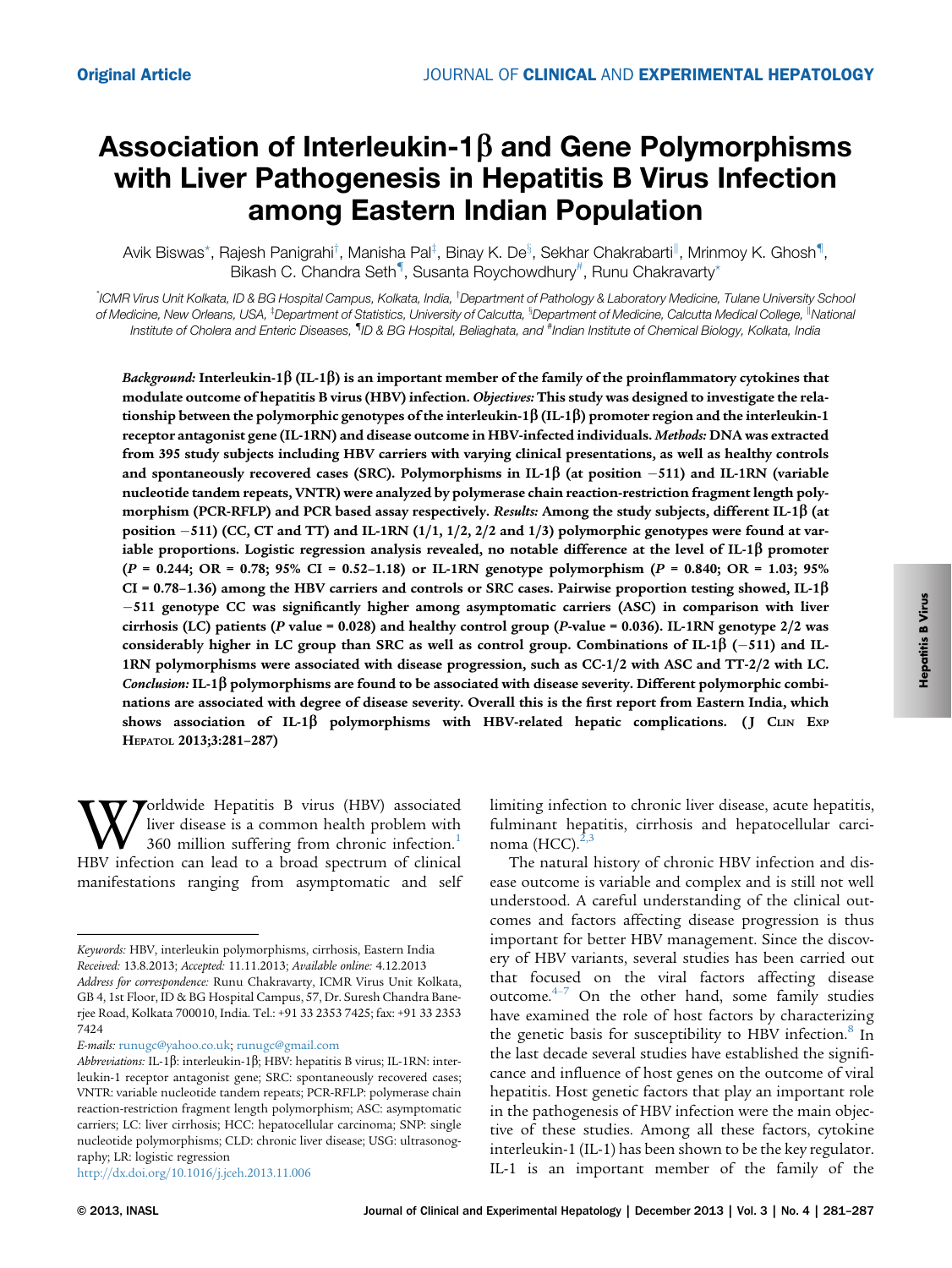# Association of Interleukin-1 $\beta$  and Gene Polymorphisms with Liver Pathogenesis in Hepatitis B Virus Infection among Eastern Indian Population

Avik Biswas\*, Rajesh Panigrahi†, Manisha Pal‡, Binay K. Deʰ, Sekhar Chakrabarti<sup>ll</sup>, Mrinmoy K. Ghosh¶, Bikash C. Chandra Seth<sup>¶</sup>, Susanta Roychowdhury<sup>#</sup>, Runu Chakravarty\*

.<br>ICMR Virus Unit Kolkata, ID & BG Hospital Campus, Kolkata, India, <sup>†</sup>Department of Pathology & Laboratory Medicine, Tulane University School, of Medicine, New Orleans, USA, <sup>‡</sup>Department of Statistics, University of Calcutta, <sup>s</sup>Department of Medicine, Calcutta Medical College, <sup>II</sup>Nationa Institute of Cholera and Enteric Diseases, <sup>¶</sup>ID & BG Hospital, Beliaghata, and <sup>#</sup>Indian Institute of Chemical Biology, Kolkata, India

Background: Interleukin-1 $\beta$  (IL-1 $\beta$ ) is an important member of the family of the proinflammatory cytokines that modulate outcome of hepatitis B virus (HBV) infection. Objectives: This study was designed to investigate the relationship between the polymorphic genotypes of the interleukin-1 $\beta$  (IL-1 $\beta$ ) promoter region and the interleukin-1 receptor antagonist gene (IL-1RN) and disease outcome in HBV-infected individuals. Methods: DNA was extracted from 395 study subjects including HBV carriers with varying clinical presentations, as well as healthy controls and spontaneously recovered cases (SRC). Polymorphisms in IL-1 $\beta$  (at position –511) and IL-1RN (variable nucleotide tandem repeats, VNTR) were analyzed by polymerase chain reaction-restriction fragment length polymorphism (PCR-RFLP) and PCR based assay respectively. Results: Among the study subjects, different IL-1 $\beta$  (at position -511) (CC, CT and TT) and IL-1RN (1/1, 1/2, 2/2 and 1/3) polymorphic genotypes were found at variable proportions. Logistic regression analysis revealed, no notable difference at the level of IL-1 $\beta$  promoter  $(P = 0.244; \text{ OR } = 0.78; 95\% \text{ CI } = 0.52-1.18)$  or IL-1RN genotype polymorphism  $(P = 0.840; \text{ OR } = 1.03; 95\%$ CI = 0.78–1.36) among the HBV carriers and controls or SRC cases. Pairwise proportion testing showed, IL-1 $\beta$ -511 genotype CC was significantly higher among asymptomatic carriers (ASC) in comparison with liver cirrhosis (LC) patients (P value = 0.028) and healthy control group (P-value = 0.036). IL-1RN genotype 2/2 was considerably higher in LC group than SRC as well as control group. Combinations of IL-1 $\beta$  (–511) and IL-1RN polymorphisms were associated with disease progression, such as CC-1/2 with ASC and TT-2/2 with LC. Conclusion: IL-1 $\beta$  polymorphisms are found to be associated with disease severity. Different polymorphic combinations are associated with degree of disease severity. Overall this is the first report from Eastern India, which shows association of IL-1 $\beta$  polymorphisms with HBV-related hepatic complications. (J CLIN EXP HEPATOL 2013;3:281–287)

**W** orldwide Hepatitis B virus (HBV) associated liver disease is a common health problem with 160 360 million suffering from chronic infection.<sup>1</sup> HBV infection can lead to a broad spectrum of clinical liver disease is a common health problem with 360 million suffering from chronic infection.<sup>1</sup> manifestations ranging from asymptomatic and self

E-mails: [runugc@yahoo.co.uk](mailto:runugc@yahoo.co.uk); [runugc@gmail.com](mailto:runugc@gmail.com)

<http://dx.doi.org/10.1016/j.jceh.2013.11.006>

limiting infection to chronic liver disease, acute hepatitis, fulminant hepatitis, cirrhosis and hepatocellular carcinoma (HCC). $^{2}$ 

The natural history of chronic HBV infection and disease outcome is variable and complex and is still not well understood. A careful understanding of the clinical outcomes and factors affecting disease progression is thus important for better HBV management. Since the discovery of HBV variants, several studies has been carried out that foc[use](#page-5-0)d on the viral factors affecting disease outcome. $4-7$  On the other hand, some family studies have examined the role of host factors by characterizing the genetic basis for susceptibility to HBV infection.<sup>[8](#page-6-0)</sup> In the last decade several studies have established the significance and influence of host genes on the outcome of viral hepatitis. Host genetic factors that play an important role in the pathogenesis of HBV infection were the main objective of these studies. Among all these factors, cytokine interleukin-1 (IL-1) has been shown to be the key regulator. IL-1 is an important member of the family of the

Keywords: HBV, interleukin polymorphisms, cirrhosis, Eastern India Received: 13.8.2013; Accepted: 11.11.2013; Available online: 4.12.2013 Address for correspondence: Runu Chakravarty, ICMR Virus Unit Kolkata, GB 4, 1st Floor, ID & BG Hospital Campus, 57, Dr. Suresh Chandra Banerjee Road, Kolkata 700010, India. Tel.: +91 33 2353 7425; fax: +91 33 2353 7424

Abbreviations: IL-1 $\beta$ : interleukin-1 $\beta$ ; HBV: hepatitis B virus; IL-1RN: interleukin-1 receptor antagonist gene; SRC: spontaneously recovered cases; VNTR: variable nucleotide tandem repeats; PCR-RFLP: polymerase chain reaction-restriction fragment length polymorphism; ASC: asymptomatic carriers; LC: liver cirrhosis; HCC: hepatocellular carcinoma; SNP: single nucleotide polymorphisms; CLD: chronic liver disease; USG: ultrasonography; LR: logistic regression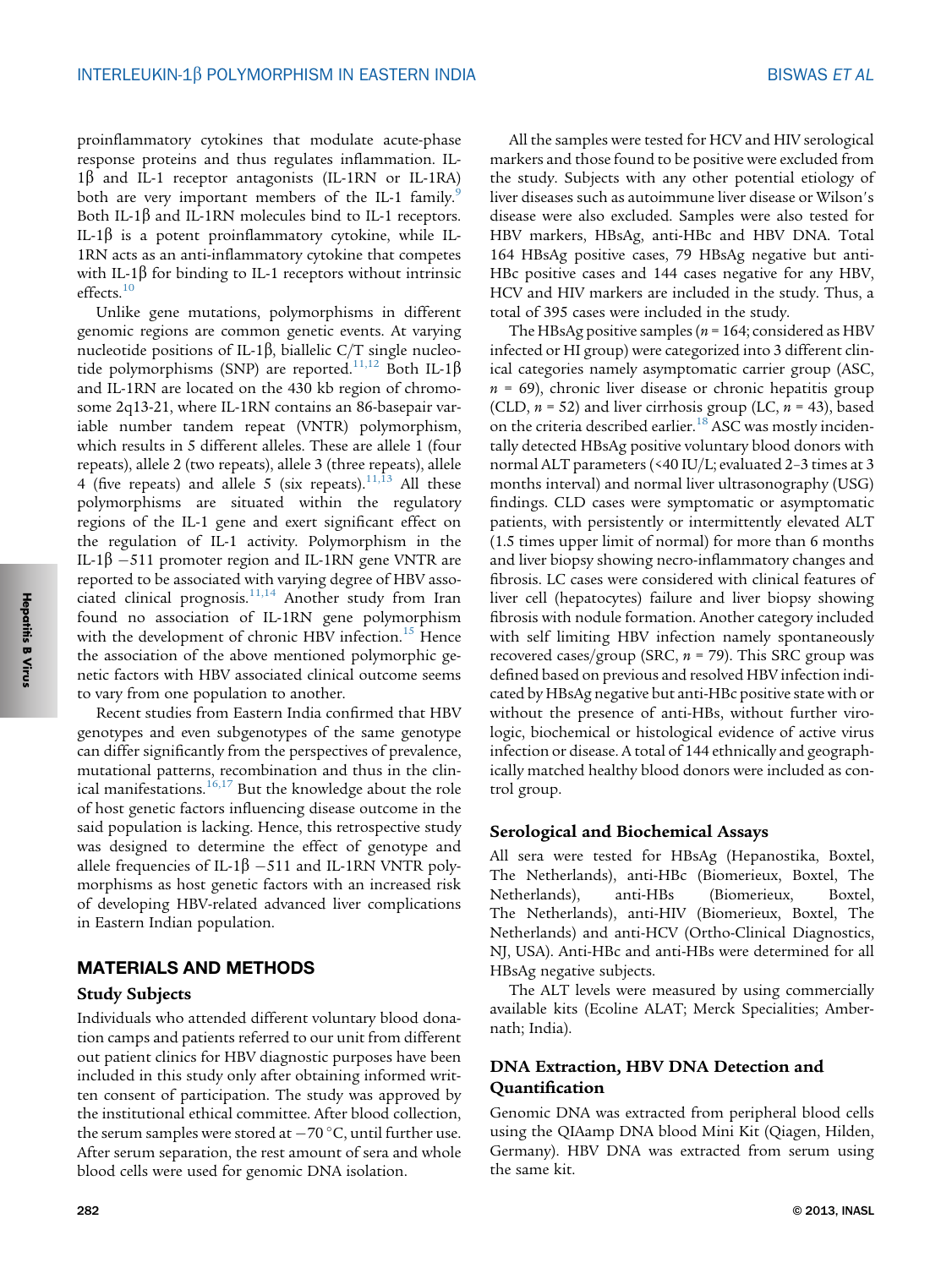proinflammatory cytokines that modulate acute-phase response proteins and thus regulates inflammation. IL- $1\beta$  and IL-1 receptor antagonists (IL-1RN or IL-1RA) both are very important members of the IL-1 family.<sup>[9](#page-6-0)</sup> Both IL-1 $\beta$  and IL-1RN molecules bind to IL-1 receptors. IL-1 $\beta$  is a potent proinflammatory cytokine, while IL-1RN acts as an anti-inflammatory cytokine that competes with IL-1 $\beta$  for binding to IL-1 receptors without intrinsic effects.<sup>[10](#page-6-0)</sup>

Unlike gene mutations, polymorphisms in different genomic regions are common genetic events. At varying nucleotide positions of IL-1 $\beta$ , biallelic C/T single nucleo-tide polymorphisms (SNP) are reported.<sup>[11,12](#page-6-0)</sup> Both IL-1 $\beta$ and IL-1RN are located on the 430 kb region of chromosome 2q13-21, where IL-1RN contains an 86-basepair variable number tandem repeat (VNTR) polymorphism, which results in 5 different alleles. These are allele 1 (four repeats), allele 2 (two repeats), allele 3 (three repeats), allele 4 (five repeats) and allele 5 (six repeats). $11,13$  All these polymorphisms are situated within the regulatory regions of the IL-1 gene and exert significant effect on the regulation of IL-1 activity. Polymorphism in the IL-1 $\beta$  –511 promoter region and IL-1RN gene VNTR are reported to be associated with varying degree of HBV associated clinical prognosis. $11,14$  Another study from Iran found no association of IL-1RN gene polymorphism with the development of chronic HBV infection.<sup>[15](#page-6-0)</sup> Hence the association of the above mentioned polymorphic genetic factors with HBV associated clinical outcome seems to vary from one population to another.

Recent studies from Eastern India confirmed that HBV genotypes and even subgenotypes of the same genotype can differ significantly from the perspectives of prevalence, mutational patterns, recombination and thus in the clin-ical manifestations.<sup>[16,17](#page-6-0)</sup> But the knowledge about the role of host genetic factors influencing disease outcome in the said population is lacking. Hence, this retrospective study was designed to determine the effect of genotype and allele frequencies of IL-1 $\beta$  –511 and IL-1RN VNTR polymorphisms as host genetic factors with an increased risk of developing HBV-related advanced liver complications in Eastern Indian population.

### MATERIALS AND METHODS

### Study Subjects

Individuals who attended different voluntary blood donation camps and patients referred to our unit from different out patient clinics for HBV diagnostic purposes have been included in this study only after obtaining informed written consent of participation. The study was approved by the institutional ethical committee. After blood collection, the serum samples were stored at  $-70^{\circ}$ C, until further use. After serum separation, the rest amount of sera and whole blood cells were used for genomic DNA isolation.

All the samples were tested for HCV and HIV serological markers and those found to be positive were excluded from the study. Subjects with any other potential etiology of liver diseases such as autoimmune liver disease or Wilson's disease were also excluded. Samples were also tested for HBV markers, HBsAg, anti-HBc and HBV DNA. Total 164 HBsAg positive cases, 79 HBsAg negative but anti-HBc positive cases and 144 cases negative for any HBV, HCV and HIV markers are included in the study. Thus, a total of 395 cases were included in the study.

The HBsAg positive samples ( $n = 164$ ; considered as HBV infected or HI group) were categorized into 3 different clinical categories namely asymptomatic carrier group (ASC,  $n = 69$ ), chronic liver disease or chronic hepatitis group (CLD,  $n = 52$ ) and liver cirrhosis group (LC,  $n = 43$ ), based on the criteria described earlier.<sup>[18](#page-6-0)</sup> ASC was mostly incidentally detected HBsAg positive voluntary blood donors with normal ALT parameters (<40 IU/L; evaluated 2–3 times at 3 months interval) and normal liver ultrasonography (USG) findings. CLD cases were symptomatic or asymptomatic patients, with persistently or intermittently elevated ALT (1.5 times upper limit of normal) for more than 6 months and liver biopsy showing necro-inflammatory changes and fibrosis. LC cases were considered with clinical features of liver cell (hepatocytes) failure and liver biopsy showing fibrosis with nodule formation. Another category included with self limiting HBV infection namely spontaneously recovered cases/group (SRC,  $n = 79$ ). This SRC group was defined based on previous and resolved HBV infection indicated by HBsAg negative but anti-HBc positive state with or without the presence of anti-HBs, without further virologic, biochemical or histological evidence of active virus infection or disease. A total of 144 ethnically and geographically matched healthy blood donors were included as control group.

### Serological and Biochemical Assays

All sera were tested for HBsAg (Hepanostika, Boxtel, The Netherlands), anti-HBc (Biomerieux, Boxtel, The Netherlands), anti-HBs (Biomerieux, Boxtel, The Netherlands), anti-HIV (Biomerieux, Boxtel, The Netherlands) and anti-HCV (Ortho-Clinical Diagnostics, NJ, USA). Anti-HBc and anti-HBs were determined for all HBsAg negative subjects.

The ALT levels were measured by using commercially available kits (Ecoline ALAT; Merck Specialities; Ambernath; India).

# DNA Extraction, HBV DNA Detection and Quantification

Genomic DNA was extracted from peripheral blood cells using the QIAamp DNA blood Mini Kit (Qiagen, Hilden, Germany). HBV DNA was extracted from serum using the same kit.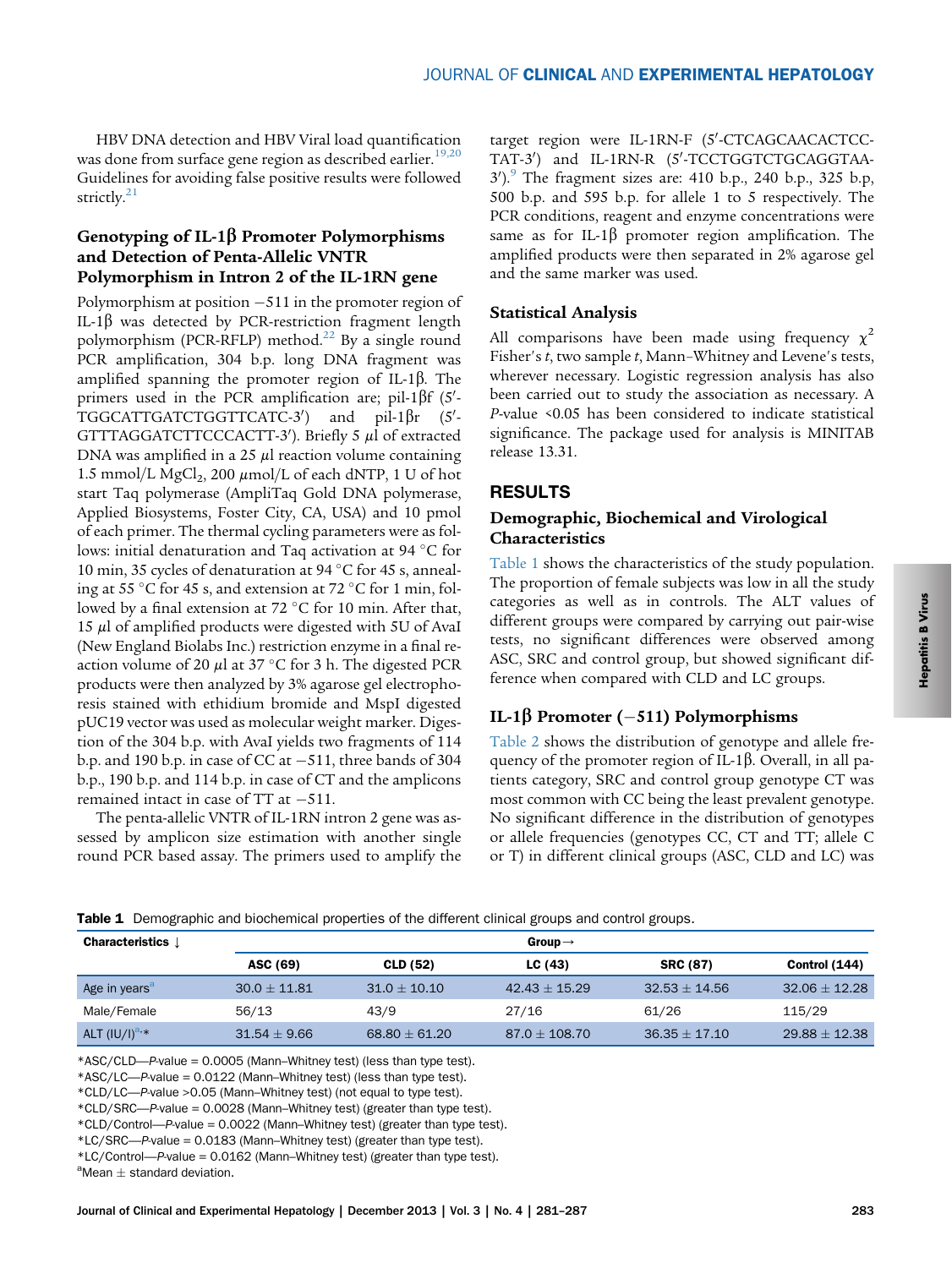HBV DNA detection and HBV Viral load quantification was done from surface gene region as described earlier.<sup>[19,20](#page-6-0)</sup> Guidelines for avoiding false positive results were followed strictly.<sup>[21](#page-6-0)</sup>

# Genotyping of IL-1 $\beta$  Promoter Polymorphisms and Detection of Penta-Allelic VNTR Polymorphism in Intron 2 of the IL-1RN gene

Polymorphism at position -511 in the promoter region of IL-1 $\beta$  was detected by PCR-restriction fragment length polymorphism (PCR-RFLP) method.<sup>[22](#page-6-0)</sup> By a single round PCR amplification, 304 b.p. long DNA fragment was amplified spanning the promoter region of IL-1 $\beta$ . The primers used in the PCR amplification are; pil-1 $\beta$ f (5'-TGGCATTGATCTGGTTCATC-3<sup>'</sup>) and pil-1 $\beta r$  $(5'$ GTTTAGGATCTTCCCACTT-3'). Briefly 5 µl of extracted DNA was amplified in a 25  $\mu$ l reaction volume containing 1.5 mmol/L  $MgCl<sub>2</sub>$ , 200  $\mu$ mol/L of each dNTP, 1 U of hot start Taq polymerase (AmpliTaq Gold DNA polymerase, Applied Biosystems, Foster City, CA, USA) and 10 pmol of each primer. The thermal cycling parameters were as follows: initial denaturation and Taq activation at 94  $\degree$ C for 10 min, 35 cycles of denaturation at 94  $\degree$ C for 45 s, annealing at 55 °C for 45 s, and extension at 72 °C for 1 min, followed by a final extension at 72  $\mathrm{C}$  for 10 min. After that, 15  $\mu$ l of amplified products were digested with 5U of AvaI (New England Biolabs Inc.) restriction enzyme in a final reaction volume of 20  $\mu$ l at 37 °C for 3 h. The digested PCR products were then analyzed by 3% agarose gel electrophoresis stained with ethidium bromide and MspI digested pUC19 vector was used as molecular weight marker. Digestion of the 304 b.p. with AvaI yields two fragments of 114 b.p. and 190 b.p. in case of CC at -511, three bands of 304 b.p., 190 b.p. and 114 b.p. in case of CT and the amplicons remained intact in case of  $TT$  at  $-511$ .

The penta-allelic VNTR of IL-1RN intron 2 gene was assessed by amplicon size estimation with another single round PCR based assay. The primers used to amplify the

target region were IL-1RN-F (5'-CTCAGCAACACTCC-TAT-3') and IL-1RN-R (5'-TCCTGGTCTGCAGGTAA-3').<sup>[9](#page-6-0)</sup> The fragment sizes are: 410 b.p., 240 b.p., 325 b.p, 500 b.p. and 595 b.p. for allele 1 to 5 respectively. The PCR conditions, reagent and enzyme concentrations were same as for IL-1 $\beta$  promoter region amplification. The amplified products were then separated in 2% agarose gel and the same marker was used.

# Statistical Analysis

All comparisons have been made using frequency  $\chi^2$ Fisher's t, two sample t, Mann–Whitney and Levene's tests, wherever necessary. Logistic regression analysis has also been carried out to study the association as necessary. A P-value <0.05 has been considered to indicate statistical significance. The package used for analysis is MINITAB release 13.31.

# RESULTS

# Demographic, Biochemical and Virological Characteristics

Table 1 shows the characteristics of the study population. The proportion of female subjects was low in all the study categories as well as in controls. The ALT values of different groups were compared by carrying out pair-wise tests, no significant differences were observed among ASC, SRC and control group, but showed significant difference when compared with CLD and LC groups.

# IL-1 $\beta$  Promoter (–511) Polymorphisms

[Table 2](#page-3-0) shows the distribution of genotype and allele frequency of the promoter region of IL-1 $\beta$ . Overall, in all patients category, SRC and control group genotype CT was most common with CC being the least prevalent genotype. No significant difference in the distribution of genotypes or allele frequencies (genotypes CC, CT and TT; allele C or T) in different clinical groups (ASC, CLD and LC) was

| <b>Characteristics</b> $\downarrow$ | Group $\rightarrow$ |                   |                 |                   |                 |  |  |  |
|-------------------------------------|---------------------|-------------------|-----------------|-------------------|-----------------|--|--|--|
|                                     | ASC (69)            | <b>CLD (52)</b>   | LC $(43)$       | <b>SRC (87)</b>   | Control (144)   |  |  |  |
| Age in years <sup>a</sup>           | $30.0 + 11.81$      | $31.0 + 10.10$    | $42.43 + 15.29$ | $32.53 + 14.56$   | $32.06 + 12.28$ |  |  |  |
| Male/Female                         | 56/13               | 43/9              | 27/16           | 61/26             | 115/29          |  |  |  |
| ALT $(IVU)^{a,*}$                   | $31.54 \pm 9.66$    | $68.80 \pm 61.20$ | $87.0 + 108.70$ | $36.35 \pm 17.10$ | $29.88 + 12.38$ |  |  |  |

Table 1 Demographic and biochemical properties of the different clinical groups and control groups.

\*ASC/CLD—P-value = 0.0005 (Mann–Whitney test) (less than type test).

\*ASC/LC—P-value = 0.0122 (Mann–Whitney test) (less than type test).

\*CLD/LC—P-value >0.05 (Mann–Whitney test) (not equal to type test).

\*CLD/SRC—P-value = 0.0028 (Mann–Whitney test) (greater than type test).

\*CLD/Control—P-value = 0.0022 (Mann–Whitney test) (greater than type test).

\*LC/SRC—P-value = 0.0183 (Mann–Whitney test) (greater than type test).

\*LC/Control—P-value = 0.0162 (Mann–Whitney test) (greater than type test).

 $\,^{\text{a}}$ Mean  $\pm$  standard deviation.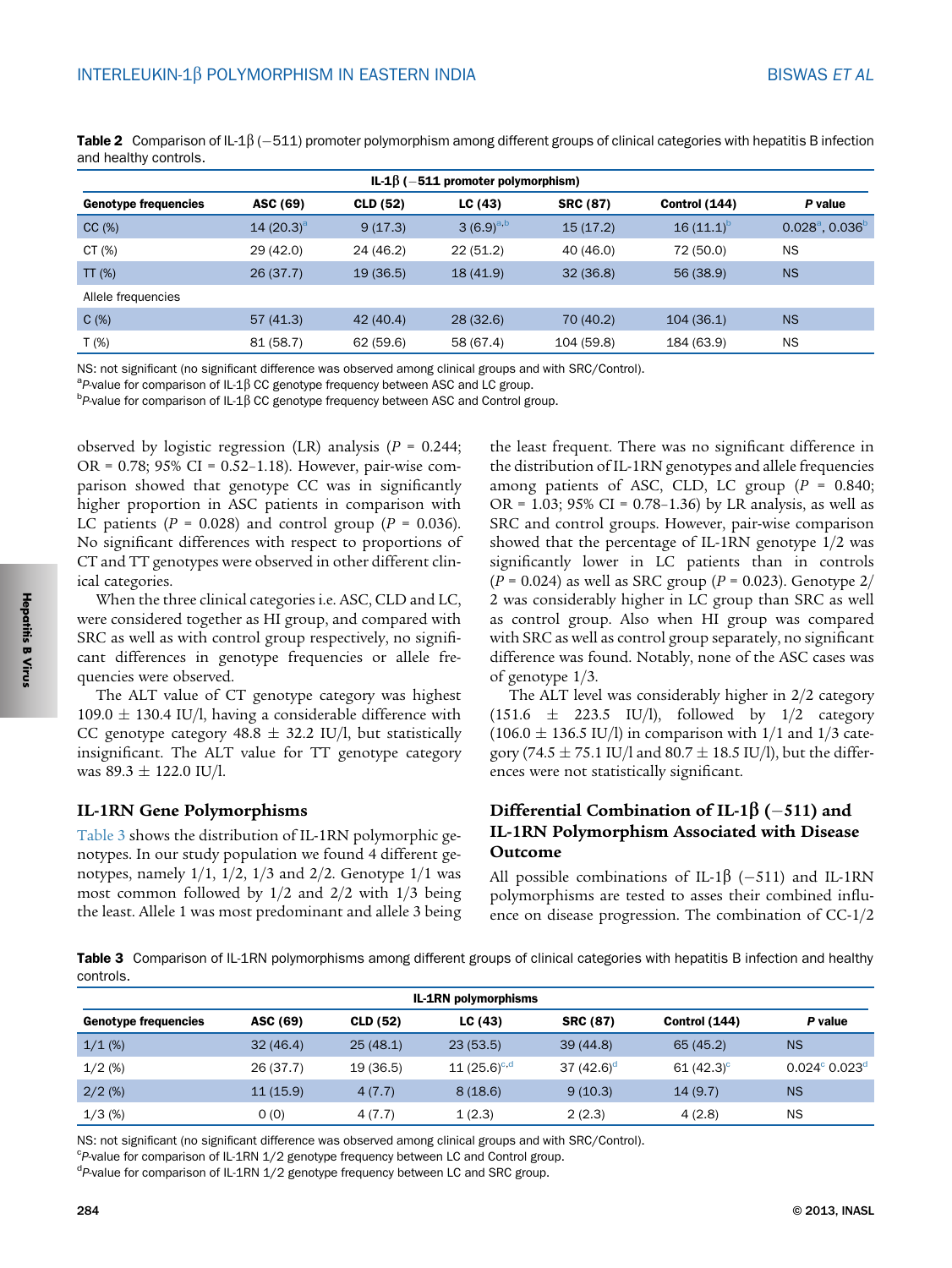| IL-1 $\beta$ (-511 promoter polymorphism) |               |           |                |                 |                |                                |  |  |
|-------------------------------------------|---------------|-----------|----------------|-----------------|----------------|--------------------------------|--|--|
| <b>Genotype frequencies</b>               | ASC (69)      | CLD (52)  | LC(43)         | <b>SRC (87)</b> | Control (144)  | P value                        |  |  |
| CC(%)                                     | 14 $(20.3)^a$ | 9(17.3)   | $3(6.9)^{a,b}$ | 15(17.2)        | $16(11.1)^{b}$ | $0.028^{\circ}, 0.036^{\circ}$ |  |  |
| CT $(\%)$                                 | 29 (42.0)     | 24 (46.2) | 22(51.2)       | 40 (46.0)       | 72 (50.0)      | <b>NS</b>                      |  |  |
| TT(%)                                     | 26(37.7)      | 19(36.5)  | 18(41.9)       | 32(36.8)        | 56 (38.9)      | <b>NS</b>                      |  |  |
| Allele frequencies                        |               |           |                |                 |                |                                |  |  |
| C(%)                                      | 57(41.3)      | 42(40.4)  | 28(32.6)       | 70 (40.2)       | 104(36.1)      | <b>NS</b>                      |  |  |
| $T(\%)$                                   | 81 (58.7)     | 62 (59.6) | 58 (67.4)      | 104 (59.8)      | 184 (63.9)     | <b>NS</b>                      |  |  |

<span id="page-3-0"></span>**Table 2** Comparison of IL-1β (—511) promoter polymorphism among different groups of clinical categories with hepatitis B infection<br>and healthy controls and healthy controls.

NS: not significant (no significant difference was observed among clinical groups and with SRC/Control).

 ${}^{a}$ P-value for comparison of IL-1 $\beta$  CC genotype frequency between ASC and LC group.

 $P$ -value for comparison of IL-1 $\beta$  CC genotype frequency between ASC and Control group.

observed by logistic regression (LR) analysis ( $P = 0.244$ ; OR = 0.78; 95% CI = 0.52–1.18). However, pair-wise comparison showed that genotype CC was in significantly higher proportion in ASC patients in comparison with LC patients ( $P = 0.028$ ) and control group ( $P = 0.036$ ). No significant differences with respect to proportions of CT and TT genotypes were observed in other different clinical categories.

When the three clinical categories i.e. ASC, CLD and LC, were considered together as HI group, and compared with SRC as well as with control group respectively, no significant differences in genotype frequencies or allele frequencies were observed.

The ALT value of CT genotype category was highest 109.0  $\pm$  130.4 IU/l, having a considerable difference with CC genotype category  $48.8 \pm 32.2$  IU/l, but statistically insignificant. The ALT value for TT genotype category was  $89.3 \pm 122.0$  IU/l.

### IL-1RN Gene Polymorphisms

Table 3 shows the distribution of IL-1RN polymorphic genotypes. In our study population we found 4 different genotypes, namely  $1/1$ ,  $1/2$ ,  $1/3$  and  $2/2$ . Genotype  $1/1$  was most common followed by 1/2 and 2/2 with 1/3 being the least. Allele 1 was most predominant and allele 3 being

the least frequent. There was no significant difference in the distribution of IL-1RN genotypes and allele frequencies among patients of ASC, CLD, LC group  $(P = 0.840;$ OR =  $1.03$ ; 95% CI = 0.78-1.36) by LR analysis, as well as SRC and control groups. However, pair-wise comparison showed that the percentage of IL-1RN genotype 1/2 was significantly lower in LC patients than in controls  $(P = 0.024)$  as well as SRC group  $(P = 0.023)$ . Genotype 2/ 2 was considerably higher in LC group than SRC as well as control group. Also when HI group was compared with SRC as well as control group separately, no significant difference was found. Notably, none of the ASC cases was of genotype 1/3.

The ALT level was considerably higher in 2/2 category  $(151.6 \pm 223.5 \text{ IU/l}),$  followed by  $1/2$  category  $(106.0 \pm 136.5 \text{ IU/l})$  in comparison with 1/1 and 1/3 category (74.5  $\pm$  75.1 IU/l and 80.7  $\pm$  18.5 IU/l), but the differences were not statistically significant.

# Differential Combination of IL-1 $\beta$  (-511) and IL-1RN Polymorphism Associated with Disease Outcome

All possible combinations of IL-1 $\beta$  (-511) and IL-1RN polymorphisms are tested to asses their combined influence on disease progression. The combination of CC-1/2

Table 3 Comparison of IL-1RN polymorphisms among different groups of clinical categories with hepatitis B infection and healthy controls.

| <b>IL-1RN polymorphisms</b> |          |           |                   |                 |               |                                    |  |
|-----------------------------|----------|-----------|-------------------|-----------------|---------------|------------------------------------|--|
| <b>Genotype frequencies</b> | ASC (69) | CLD (52)  | LC(43)            | <b>SRC (87)</b> | Control (144) | P value                            |  |
| $1/1$ (%)                   | 32(46.4) | 25(48.1)  | 23(53.5)          | 39(44.8)        | 65(45.2)      | <b>NS</b>                          |  |
| $1/2$ (%)                   | 26(37.7) | 19 (36.5) | 11 $(25.6)^{c,d}$ | 37 $(42.6)^d$   | 61 $(42.3)^c$ | $0.024^{\circ}$ 0.023 <sup>d</sup> |  |
| $2/2$ (%)                   | 11(15.9) | 4(7.7)    | 8(18.6)           | 9(10.3)         | 14(9.7)       | <b>NS</b>                          |  |
| $1/3$ (%)                   | O(0)     | 4(7.7)    | 1(2.3)            | 2(2.3)          | 4(2.8)        | ΝS                                 |  |

NS: not significant (no significant difference was observed among clinical groups and with SRC/Control).

 $P$ -value for comparison of IL-1RN  $1/2$  genotype frequency between LC and Control group.

<sup>d</sup>P-value for comparison of IL-1RN 1/2 genotype frequency between LC and SRC group.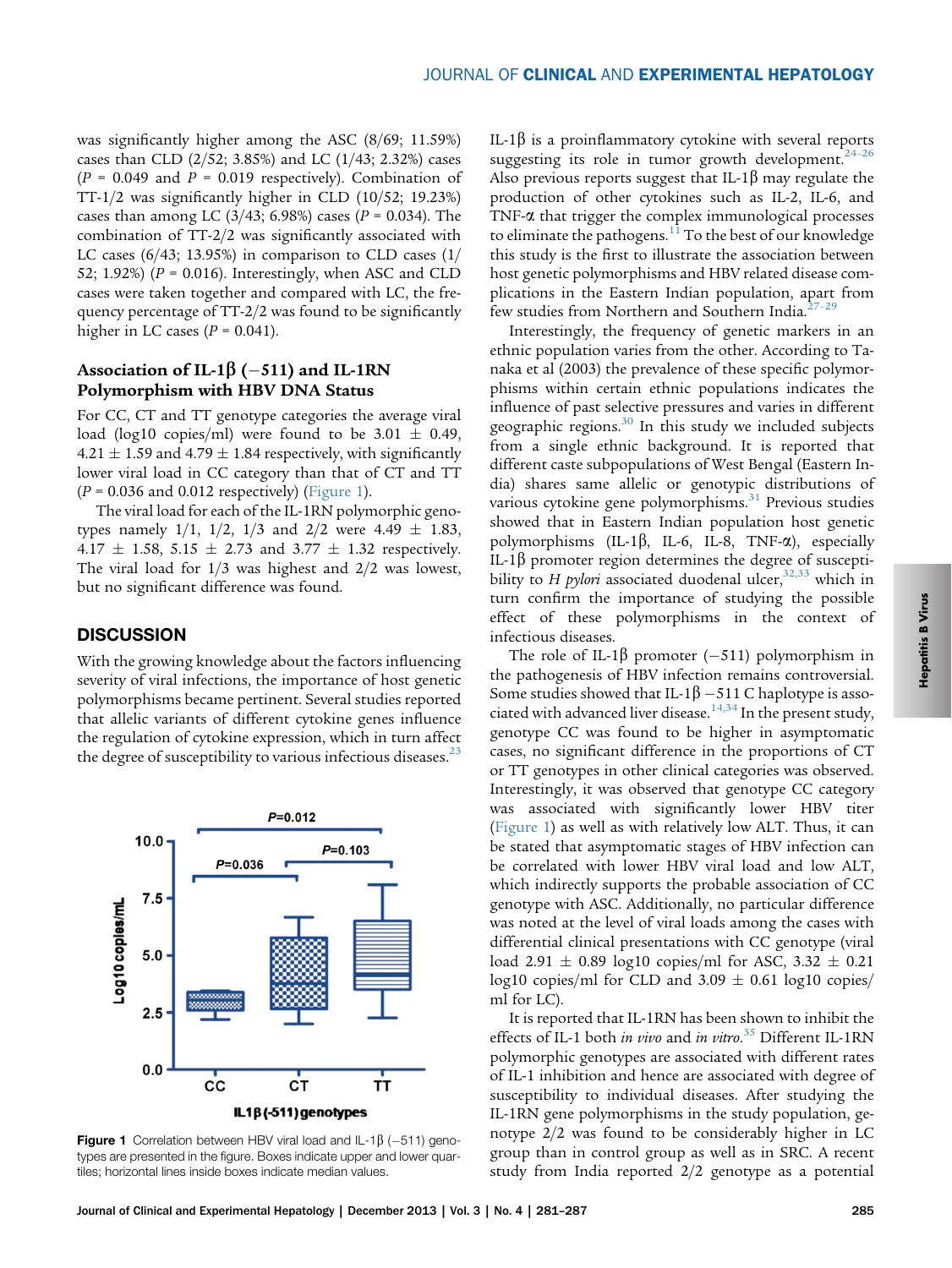was significantly higher among the ASC (8/69; 11.59%) cases than CLD (2/52; 3.85%) and LC (1/43; 2.32%) cases  $(P = 0.049$  and  $P = 0.019$  respectively). Combination of TT-1/2 was significantly higher in CLD (10/52; 19.23%) cases than among LC (3/43; 6.98%) cases ( $P = 0.034$ ). The combination of TT-2/2 was significantly associated with LC cases (6/43; 13.95%) in comparison to CLD cases (1/ 52; 1.92%) ( $P = 0.016$ ). Interestingly, when ASC and CLD cases were taken together and compared with LC, the frequency percentage of TT-2/2 was found to be significantly higher in LC cases ( $P = 0.041$ ).

### Association of IL-1 $\beta$  (–511) and IL-1RN Polymorphism with HBV DNA Status

For CC, CT and TT genotype categories the average viral load (log10 copies/ml) were found to be  $3.01 \pm 0.49$ ,  $4.21 \pm 1.59$  and  $4.79 \pm 1.84$  respectively, with significantly lower viral load in CC category than that of CT and TT  $(P = 0.036$  and 0.012 respectively) (Figure 1).

The viral load for each of the IL-1RN polymorphic genotypes namely  $1/1$ ,  $1/2$ ,  $1/3$  and  $2/2$  were  $4.49 \pm 1.83$ , 4.17  $\pm$  1.58, 5.15  $\pm$  2.73 and 3.77  $\pm$  1.32 respectively. The viral load for  $1/3$  was highest and  $2/2$  was lowest, but no significant difference was found.

# **DISCUSSION**

With the growing knowledge about the factors influencing severity of viral infections, the importance of host genetic polymorphisms became pertinent. Several studies reported that allelic variants of different cytokine genes influence the regulation of cytokine expression, which in turn affect the degree of susceptibility to various infectious diseases. $^{23}$ 



**Figure 1** Correlation between HBV viral load and IL-1 $\beta$  (-511) genotypes are presented in the figure. Boxes indicate upper and lower quartiles; horizontal lines inside boxes indicate median values.

IL-1 $\beta$  is a proinflammatory cytokine with several reports suggesting its role in tumor growth development.<sup>[24](#page-6-0)-26</sup> Also previous reports suggest that IL-1 $\beta$  may regulate the production of other cytokines such as IL-2, IL-6, and TNF- $\alpha$  that trigger the complex immunological processes to eliminate the pathogens.<sup>[11](#page-6-0)</sup> To the best of our knowledge this study is the first to illustrate the association between host genetic polymorphisms and HBV related disease complications in the Eastern Indian population, apart from few studies from Northern and Southern India.<sup>[27](#page-6-0)-29</sup>

Interestingly, the frequency of genetic markers in an ethnic population varies from the other. According to Tanaka et al (2003) the prevalence of these specific polymorphisms within certain ethnic populations indicates the influence of past selective pressures and varies in different geographic regions. $30$  In this study we included subjects from a single ethnic background. It is reported that different caste subpopulations of West Bengal (Eastern India) shares same allelic or genotypic distributions of various cytokine gene polymorphisms.<sup>[31](#page-6-0)</sup> Previous studies showed that in Eastern Indian population host genetic polymorphisms (IL-1 $\beta$ , IL-6, IL-8, TNF- $\alpha$ ), especially IL-1 $\beta$  promoter region determines the degree of susceptibility to H pylori associated duodenal ulcer,  $32,33$  which in turn confirm the importance of studying the possible effect of these polymorphisms in the context of infectious diseases.

The role of IL-1 $\beta$  promoter (–511) polymorphism in the pathogenesis of HBV infection remains controversial. Some studies showed that IL-1 $\beta$  -511 C haplotype is asso-ciated with advanced liver disease.<sup>[14,34](#page-6-0)</sup> In the present study, genotype CC was found to be higher in asymptomatic cases, no significant difference in the proportions of CT or TT genotypes in other clinical categories was observed. Interestingly, it was observed that genotype CC category was associated with significantly lower HBV titer (Figure 1) as well as with relatively low ALT. Thus, it can be stated that asymptomatic stages of HBV infection can be correlated with lower HBV viral load and low ALT, which indirectly supports the probable association of CC genotype with ASC. Additionally, no particular difference was noted at the level of viral loads among the cases with differential clinical presentations with CC genotype (viral load 2.91  $\pm$  0.89 log10 copies/ml for ASC, 3.32  $\pm$  0.21 log10 copies/ml for CLD and  $3.09 \pm 0.61$  log10 copies/ ml for LC).

It is reported that IL-1RN has been shown to inhibit the effects of IL-1 both in vivo and in vitro.<sup>[35](#page-6-0)</sup> Different IL-1RN polymorphic genotypes are associated with different rates of IL-1 inhibition and hence are associated with degree of susceptibility to individual diseases. After studying the IL-1RN gene polymorphisms in the study population, genotype 2/2 was found to be considerably higher in LC group than in control group as well as in SRC. A recent study from India reported 2/2 genotype as a potential

**Hepatitis B Virus** Hepatitis B Virus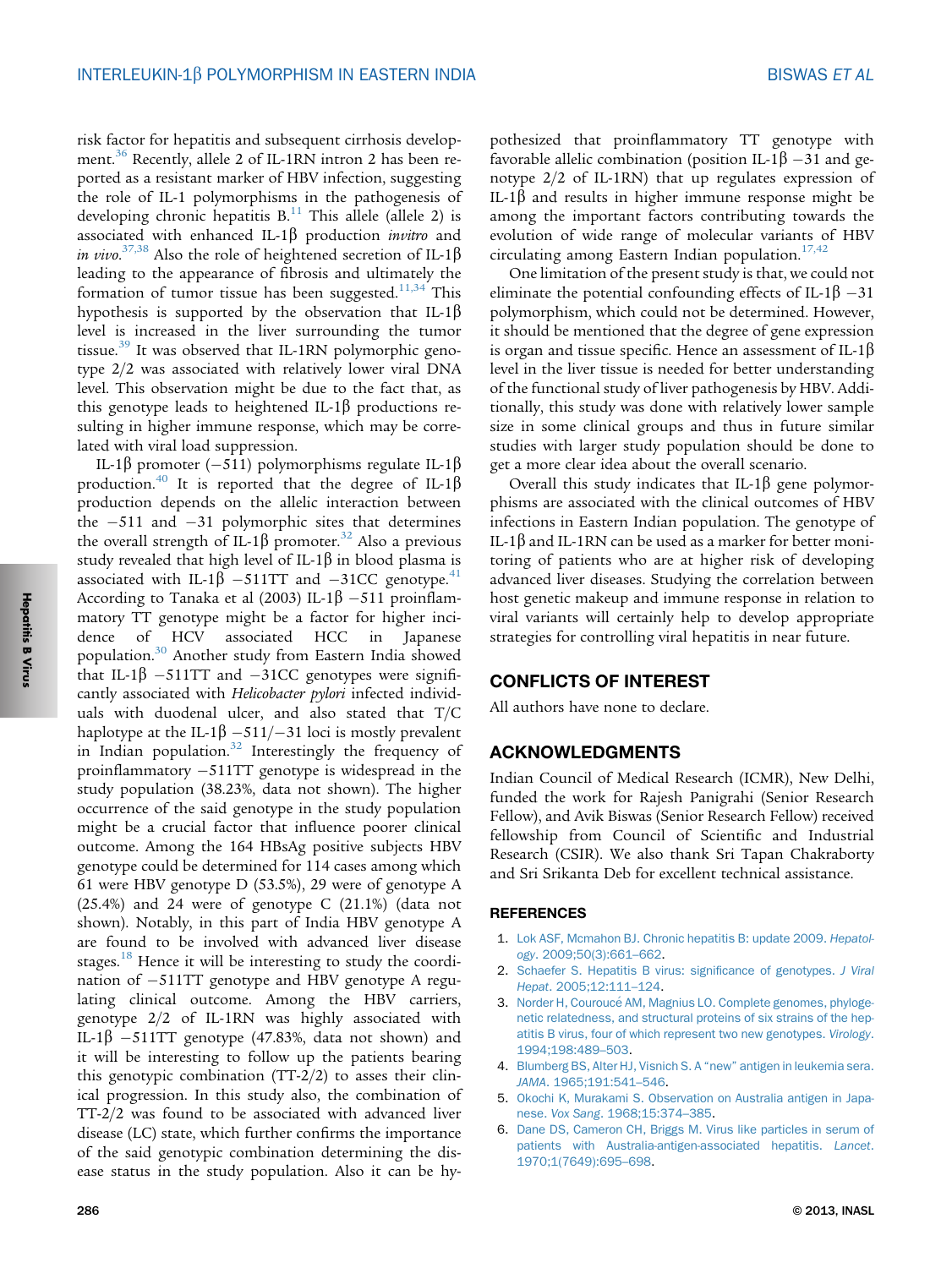<span id="page-5-0"></span>risk factor for hepatitis and subsequent cirrhosis develop-ment.<sup>[36](#page-6-0)</sup> Recently, allele 2 of IL-1RN intron 2 has been reported as a resistant marker of HBV infection, suggesting the role of IL-1 polymorphisms in the pathogenesis of developing chronic hepatitis  $B<sup>11</sup>$  $B<sup>11</sup>$  $B<sup>11</sup>$ . This allele (allele 2) is associated with enhanced IL-1 $\beta$  production *invitro* and in vivo.<sup>[37,38](#page-6-0)</sup> Also the role of heightened secretion of IL-1 $\beta$ leading to the appearance of fibrosis and ultimately the formation of tumor tissue has been suggested.<sup>11,34</sup> This hypothesis is supported by the observation that IL-1 $\beta$ level is increased in the liver surrounding the tumor tissue.<sup>[39](#page-6-0)</sup> It was observed that IL-1RN polymorphic genotype 2/2 was associated with relatively lower viral DNA level. This observation might be due to the fact that, as this genotype leads to heightened IL-1 $\beta$  productions resulting in higher immune response, which may be correlated with viral load suppression.

IL-1b promoter (-511) polymorphisms regulate IL-1b production.<sup>[40](#page-6-0)</sup> It is reported that the degree of IL-1 $\beta$ production depends on the allelic interaction between the  $-511$  and  $-31$  polymorphic sites that determines the overall strength of IL-1 $\beta$  promoter.<sup>[32](#page-6-0)</sup> Also a previous study revealed that high level of IL-1 $\beta$  in blood plasma is associated with IL-1 $\beta$  -511TT and -31CC genotype.<sup>[41](#page-6-0)</sup> According to Tanaka et al (2003) IL-1 $\beta$  –511 proinflammatory TT genotype might be a factor for higher incidence of HCV associated HCC in Japanese population.[30](#page-6-0) Another study from Eastern India showed that IL-1 $\beta$  -511TT and -31CC genotypes were significantly associated with Helicobacter pylori infected individuals with duodenal ulcer, and also stated that T/C haplotype at the IL-1 $\beta$  –511/–31 loci is mostly prevalent in Indian population. $32$  Interestingly the frequency of proinflammatory -511TT genotype is widespread in the study population (38.23%, data not shown). The higher occurrence of the said genotype in the study population might be a crucial factor that influence poorer clinical outcome. Among the 164 HBsAg positive subjects HBV genotype could be determined for 114 cases among which 61 were HBV genotype D (53.5%), 29 were of genotype A (25.4%) and 24 were of genotype C (21.1%) (data not shown). Notably, in this part of India HBV genotype A are found to be involved with advanced liver disease stages.<sup>[18](#page-6-0)</sup> Hence it will be interesting to study the coordination of -511TT genotype and HBV genotype A regulating clinical outcome. Among the HBV carriers, genotype 2/2 of IL-1RN was highly associated with IL-1 $\beta$  –511TT genotype (47.83%, data not shown) and it will be interesting to follow up the patients bearing this genotypic combination (TT-2/2) to asses their clinical progression. In this study also, the combination of TT-2/2 was found to be associated with advanced liver disease (LC) state, which further confirms the importance of the said genotypic combination determining the disease status in the study population. Also it can be hy-

pothesized that proinflammatory TT genotype with favorable allelic combination (position IL-1 $\beta$  –31 and genotype 2/2 of IL-1RN) that up regulates expression of IL-1 $\beta$  and results in higher immune response might be among the important factors contributing towards the evolution of wide range of molecular variants of HBV circulating among Eastern Indian population.<sup>[17,42](#page-6-0)</sup>

One limitation of the present study is that, we could not eliminate the potential confounding effects of IL-1 $\beta$  –31 polymorphism, which could not be determined. However, it should be mentioned that the degree of gene expression is organ and tissue specific. Hence an assessment of IL-1 $\beta$ level in the liver tissue is needed for better understanding of the functional study of liver pathogenesis by HBV. Additionally, this study was done with relatively lower sample size in some clinical groups and thus in future similar studies with larger study population should be done to get a more clear idea about the overall scenario.

Overall this study indicates that IL-1 $\beta$  gene polymorphisms are associated with the clinical outcomes of HBV infections in Eastern Indian population. The genotype of IL-1 $\beta$  and IL-1RN can be used as a marker for better monitoring of patients who are at higher risk of developing advanced liver diseases. Studying the correlation between host genetic makeup and immune response in relation to viral variants will certainly help to develop appropriate strategies for controlling viral hepatitis in near future.

### CONFLICTS OF INTEREST

All authors have none to declare.

### ACKNOWLEDGMENTS

Indian Council of Medical Research (ICMR), New Delhi, funded the work for Rajesh Panigrahi (Senior Research Fellow), and Avik Biswas (Senior Research Fellow) received fellowship from Council of Scientific and Industrial Research (CSIR). We also thank Sri Tapan Chakraborty and Sri Srikanta Deb for excellent technical assistance.

### **REFERENCES**

- 1. [Lok ASF, Mcmahon BJ. Chronic hepatitis B: update 2009.](http://refhub.elsevier.com/S0973-6883(13)00649-X/sref1) Hepatology[. 2009;50\(3\):661](http://refhub.elsevier.com/S0973-6883(13)00649-X/sref1)–662.
- 2. [Schaefer S. Hepatitis B virus: signi](http://refhub.elsevier.com/S0973-6883(13)00649-X/sref2)ficance of genotypes. J Viral Hepat[. 2005;12:111](http://refhub.elsevier.com/S0973-6883(13)00649-X/sref2)–124.
- 3. Norder H, Couroucé AM, Magnius LO. Complete genomes, phyloge[netic relatedness, and structural proteins of six strains of the hep](http://refhub.elsevier.com/S0973-6883(13)00649-X/sref3)[atitis B virus, four of which represent two new genotypes.](http://refhub.elsevier.com/S0973-6883(13)00649-X/sref3) Virology. [1994;198:489](http://refhub.elsevier.com/S0973-6883(13)00649-X/sref3)–503.
- 4. [Blumberg BS, Alter HJ, Visnich S. A](http://refhub.elsevier.com/S0973-6883(13)00649-X/sref4) "new" antigen in leukemia sera. JAMA[. 1965;191:541](http://refhub.elsevier.com/S0973-6883(13)00649-X/sref4)–546.
- 5. [Okochi K, Murakami S. Observation on Australia antigen in Japa](http://refhub.elsevier.com/S0973-6883(13)00649-X/sref5)nese. Vox Sang[. 1968;15:374](http://refhub.elsevier.com/S0973-6883(13)00649-X/sref5)–385.
- 6. [Dane DS, Cameron CH, Briggs M. Virus like particles in serum of](http://refhub.elsevier.com/S0973-6883(13)00649-X/sref6) [patients with Australia-antigen-associated hepatitis.](http://refhub.elsevier.com/S0973-6883(13)00649-X/sref6) Lancet. [1970;1\(7649\):695](http://refhub.elsevier.com/S0973-6883(13)00649-X/sref6)–698.